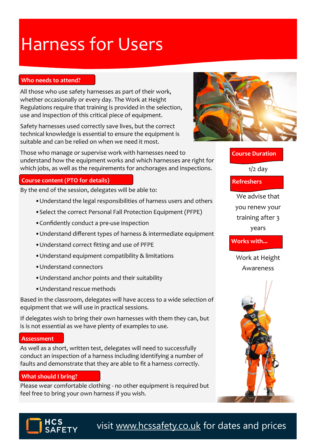# Harness for Users

#### **Who needs to attend?**

All those who use safety harnesses as part of their work, whether occasionally or every day. The Work at Height Regulations require that training is provided in the selection, use and inspection of this critical piece of equipment.

Safety harnesses used correctly save lives, but the correct technical knowledge is essential to ensure the equipment is suitable and can be relied on when we need it most.

Those who manage or supervise work with harnesses need to understand how the equipment works and which harnesses are right for which jobs, as well as the requirements for anchorages and inspections.

### **Course content (PTO for details)**

By the end of the session, delegates will be able to:

- •Understand the legal responsibilities of harness users and others
- •Select the correct Personal Fall Protection Equipment (PFPE)
- •Confidently conduct a pre-use inspection
- •Understand different types of harness & intermediate equipment
- •Understand correct fitting and use of PFPE
- •Understand equipment compatibility & limitations
- •Understand connectors
- •Understand anchor points and their suitability
- •Understand rescue methods

Based in the classroom, delegates will have access to a wide selection of equipment that we will use in practical sessions.

If delegates wish to bring their own harnesses with them they can, but is is not essential as we have plenty of examples to use.

#### **Assessment**

As well as a short, written test, delegates will need to successfully conduct an inspection of a harness including identifying a number of faults and demonstrate that they are able to fit a harness correctly.

#### **What should I bring?**

Please wear comfortable clothing - no other equipment is required but feel free to bring your own harness if you wish.



# **Course Duration**

 $1/2$  day

**Refreshers**

We advise that you renew your training after 3 years

**Works with...**

Work at Height Awareness





visit [www.hcssafety.co.uk](http://www.hcssafety.co.uk/training) for dates and prices